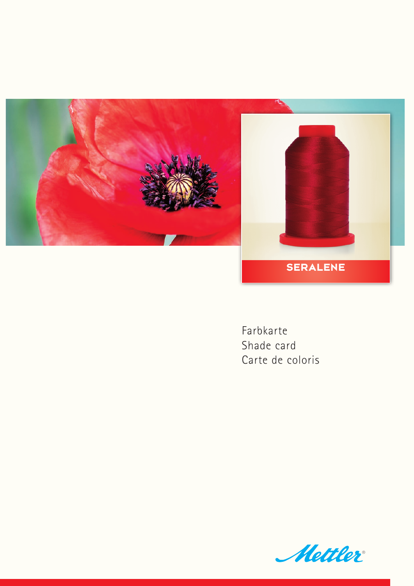

Farbkarte Shade card Carte de coloris

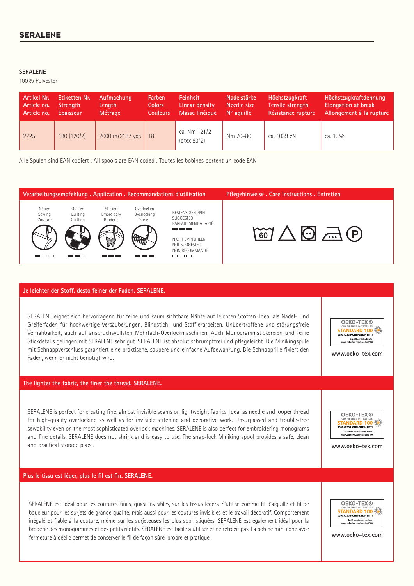## **SERALENE**

100% Polyester

| Artikel Nr. | Etiketten Nr.   | Aufmachung      | Farben          | Feinheit                               | <b>Nadelstärke</b>  | Höchstzugkraft     | Höchstzugkraftdehnung      |
|-------------|-----------------|-----------------|-----------------|----------------------------------------|---------------------|--------------------|----------------------------|
| Article no. | <b>Strength</b> | Length          | <b>Colors</b>   | Linear density                         | Needle size         | Tensile strength   | <b>Elongation at break</b> |
| Article no. | Epaisseur       | Métrage         | <b>Couleurs</b> | Masse linéique                         | $N^{\circ}$ aquille | Résistance rupture | Allongement à la rupture   |
| 2225        | 180 (120/2)     | 2000 m/2187 yds | 18              | ca. Nm 121/2<br>$(\text{dtext} 83^*2)$ | Nm 70-80            | ca. 1039 cN        | ca. 19 %                   |

Alle Spulen sind EAN codiert . All spools are EAN coded . Toutes les bobines portent un code EAN



## **Je leichter der Stoff, desto feiner der Faden. SERALENE.**

SERALENE eignet sich hervorragend für feine und kaum sichtbare Nähte auf leichten Stoffen. Ideal als Nadel- und Greiferfaden für hochwertige Versäuberungen, Blindstich- und Staffierarbeiten. Unübertroffene und störungsfreie Vernähbarkeit, auch auf anspruchsvollsten Mehrfach-Overlockmaschinen. Auch Monogrammstickereien und feine Stickdetails gelingen mit SERALENE sehr gut. SERALENE ist absolut schrumpffrei und pflegeleicht. Die Minikingspule mit Schnappverschluss garantiert eine praktische, saubere und einfache Aufbewahrung. Die Schnapprille fixiert den Faden, wenn er nicht benötigt wird.

**The lighter the fabric, the finer the thread. SERALENE.**

SERALENE is perfect for creating fine, almost invisible seams on lightweight fabrics. Ideal as needle and looper thread for high-quality overlocking as well as for invisible stitching and decorative work. Unsurpassed and trouble-free sewability even on the most sophisticated overlock machines. SERALENE is also perfect for embroidering monograms and fine details. SERALENE does not shrink and is easy to use. The snap-lock Miniking spool provides a safe, clean and practical storage place.

## **Plus le tissu est léger, plus le fil est fin. SERALENE.**

SERALENE est idéal pour les coutures fines, quasi invisibles, sur les tissus légers. S'utilise comme fil d'aiguille et fil de boucleur pour les surjets de grande qualité, mais aussi pour les coutures invisibles et le travail décoratif. Comportement inégalé et fiable à la couture, même sur les surjeteuses les plus sophistiquées. SERALENE est également idéal pour la broderie des monogrammes et des petits motifs. SERALENE est facile à utiliser et ne rétrécit pas. La bobine mini cône avec fermeture à déclic permet de conserver le fil de façon sûre, propre et pratique.



**www.oeko-tex.com**

**OEKO-TEX® STANDARD 100** Geprüft auf Schadstoffe.<br>www.oeko-tex.com/standard100

**www.oeko-tex.com**



**www.oeko-tex.com**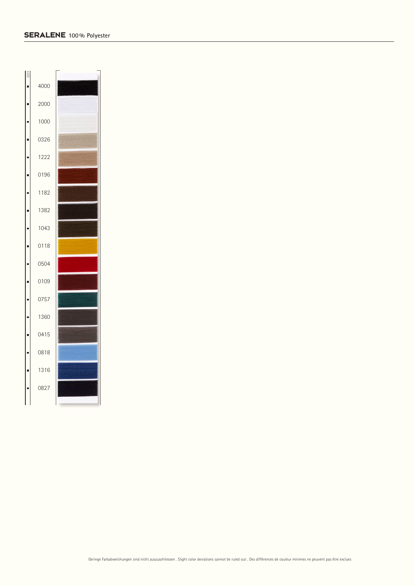